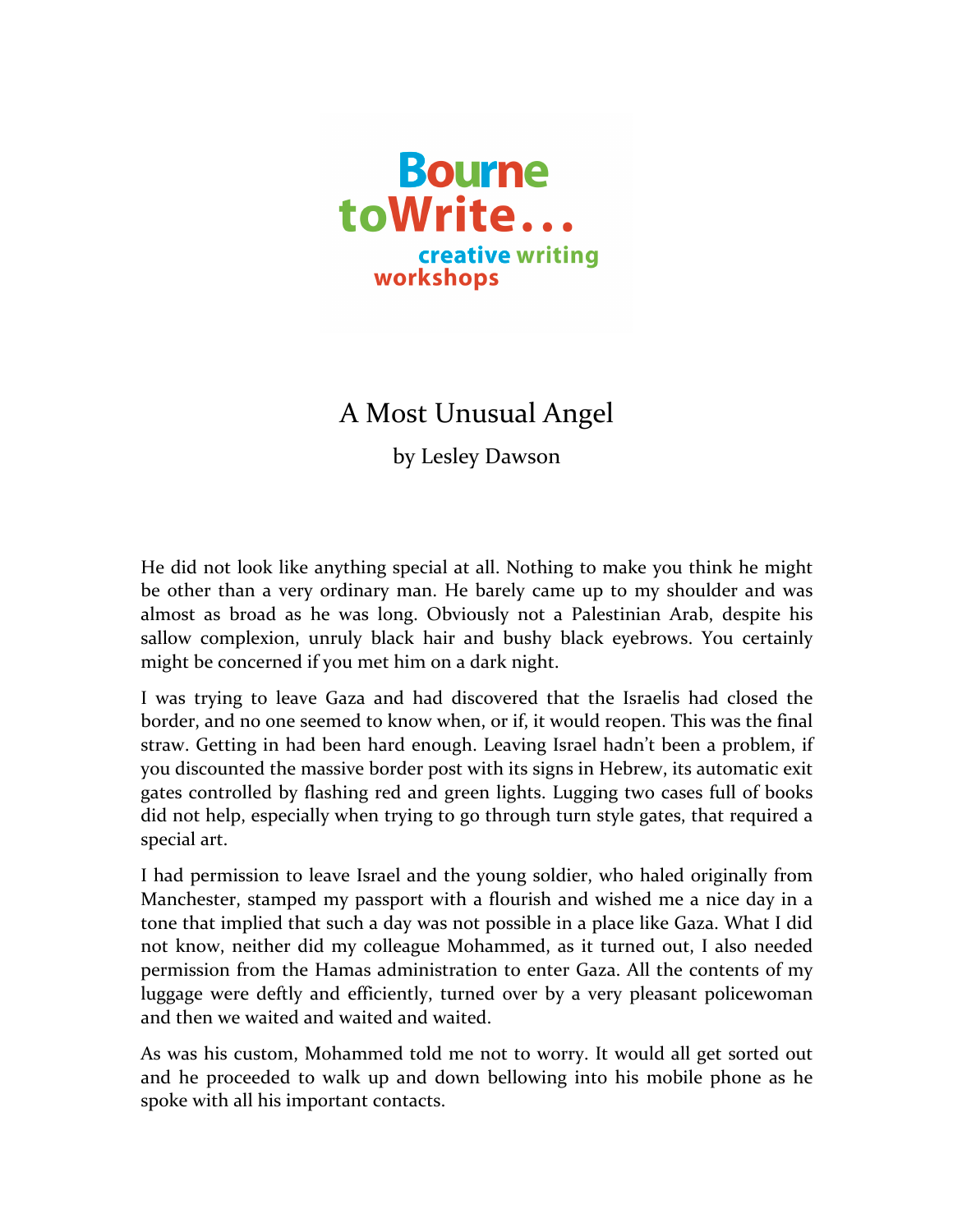

## A Most Unusual Angel

by Lesley Dawson

He did not look like anything special at all. Nothing to make you think he might be other than a very ordinary man. He barely came up to my shoulder and was almost as broad as he was long. Obviously not a Palestinian Arab, despite his sallow complexion, unruly black hair and bushy black eyebrows. You certainly might be concerned if you met him on a dark night.

I was trying to leave Gaza and had discovered that the Israelis had closed the border, and no one seemed to know when, or if, it would reopen. This was the final straw. Getting in had been hard enough. Leaving Israel hadn't been a problem, if you discounted the massive border post with its signs in Hebrew, its automatic exit gates controlled by flashing red and green lights. Lugging two cases full of books did not help, especially when trying to go through turn style gates, that required a special art.

I had permission to leave Israel and the young soldier, who haled originally from Manchester, stamped my passport with a flourish and wished me a nice day in a tone that implied that such a day was not possible in a place like Gaza. What I did not know, neither did my colleague Mohammed, as it turned out, I also needed permission from the Hamas administration to enter Gaza. All the contents of my luggage were deftly and efficiently, turned over by a very pleasant policewoman and then we waited and waited and waited.

As was his custom, Mohammed told me not to worry. It would all get sorted out and he proceeded to walk up and down bellowing into his mobile phone as he spoke with all his important contacts.